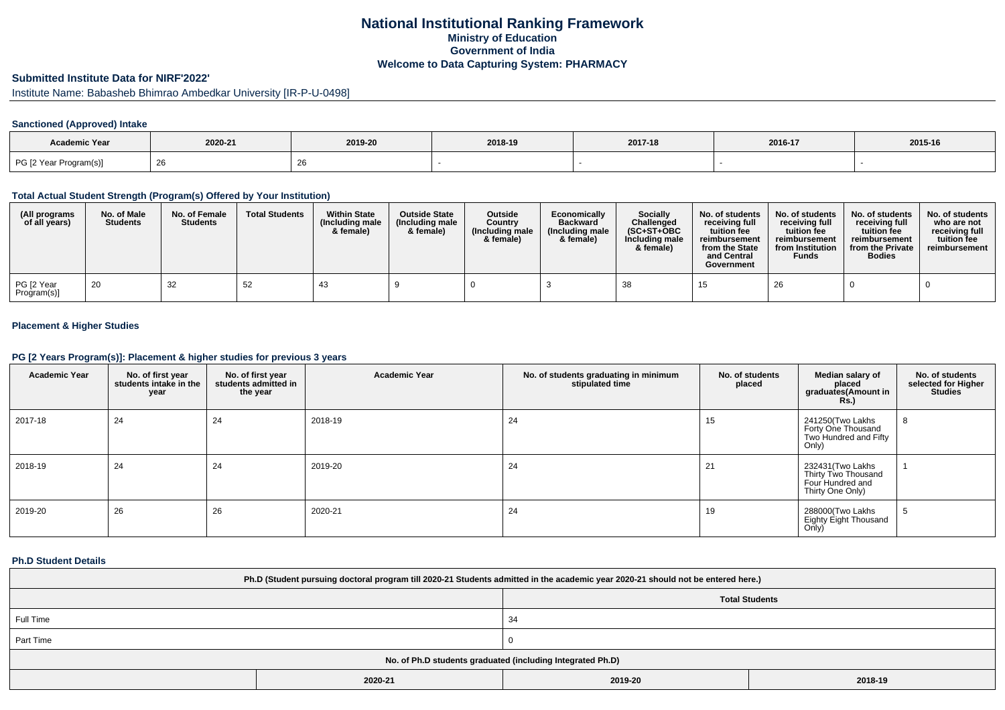# **National Institutional Ranking FrameworkMinistry of Education Government of IndiaWelcome to Data Capturing System: PHARMACY**

# **Submitted Institute Data for NIRF'2022'**

Institute Name: Babasheb Bhimrao Ambedkar University [IR-P-U-0498]

### **Sanctioned (Approved) Intake**

| <b>Academic Year</b>   | 2020-21 | 2019-20 | 2018-19 | 2017-18 | 2016-17 | 2015-16 |
|------------------------|---------|---------|---------|---------|---------|---------|
| PG [2 Year Program(s)] | - ZO    | ╭       |         |         |         |         |

#### **Total Actual Student Strength (Program(s) Offered by Your Institution)**

| (All programs<br>of all years) | No. of Male<br><b>Students</b> | No. of Female<br><b>Students</b> | <b>Total Students</b> | <b>Within State</b><br>(Including male<br>& female) | <b>Outside State</b><br>(Including male<br>& female) | <b>Outside</b><br>Country<br>(Including male<br>& female) | Economically<br><b>Backward</b><br>(Including male<br>& female) | <b>Socially</b><br>Challenged<br>$(SC+ST+OBC)$<br>Including male<br>& female) | No. of students<br>receivina full<br>tuition fee<br>reimbursement<br>from the State<br>and Central<br>Government | No. of students<br>receiving full<br>tuition fee<br>reimbursement<br>from Institution<br><b>Funds</b> | No. of students<br>receiving full<br>tuition fee<br>reimbursement<br>from the Private<br><b>Bodies</b> | No. of students<br>who are not<br>receiving full<br>tuition fee<br>reimbursement |
|--------------------------------|--------------------------------|----------------------------------|-----------------------|-----------------------------------------------------|------------------------------------------------------|-----------------------------------------------------------|-----------------------------------------------------------------|-------------------------------------------------------------------------------|------------------------------------------------------------------------------------------------------------------|-------------------------------------------------------------------------------------------------------|--------------------------------------------------------------------------------------------------------|----------------------------------------------------------------------------------|
| PG [2 Year<br>Program(s)]      | 20                             | 32                               | 52                    | 43                                                  |                                                      |                                                           |                                                                 | -38                                                                           |                                                                                                                  | 26                                                                                                    |                                                                                                        |                                                                                  |

### **Placement & Higher Studies**

#### **PG [2 Years Program(s)]: Placement & higher studies for previous 3 years**

| <b>Academic Year</b> | No. of first year<br>students intake in the<br>year | No. of first year<br>students admitted in<br>the year | <b>Academic Year</b> | No. of students graduating in minimum<br>stipulated time | No. of students<br>placed | Median salary of<br>placed<br>graduates(Amount in<br><b>Rs.</b> )                | No. of students<br>selected for Higher<br><b>Studies</b> |
|----------------------|-----------------------------------------------------|-------------------------------------------------------|----------------------|----------------------------------------------------------|---------------------------|----------------------------------------------------------------------------------|----------------------------------------------------------|
| 2017-18              | 24                                                  | 24                                                    | 2018-19              | 24                                                       | 15                        | 241250(Two Lakhs<br>Forty One Thousand<br>Two Hundred and Fifty<br>Only)         | 8                                                        |
| 2018-19              | 24                                                  | 24                                                    | 2019-20              | 24                                                       | 21                        | 232431 (Two Lakhs<br>Thirty Two Thousand<br>Four Hundred and<br>Thirty One Only) |                                                          |
| 2019-20              | 26                                                  | 26                                                    | 2020-21              | 24                                                       | 19                        | 288000(Two Lakhs<br>Eighty Eight Thousand<br>Only)                               | -5                                                       |

#### **Ph.D Student Details**

| Ph.D (Student pursuing doctoral program till 2020-21 Students admitted in the academic year 2020-21 should not be entered here.) |         |                       |         |  |  |  |  |
|----------------------------------------------------------------------------------------------------------------------------------|---------|-----------------------|---------|--|--|--|--|
|                                                                                                                                  |         | <b>Total Students</b> |         |  |  |  |  |
| Full Time                                                                                                                        |         | 34                    |         |  |  |  |  |
| Part Time                                                                                                                        |         |                       |         |  |  |  |  |
| No. of Ph.D students graduated (including Integrated Ph.D)                                                                       |         |                       |         |  |  |  |  |
|                                                                                                                                  | 2020-21 | 2019-20               | 2018-19 |  |  |  |  |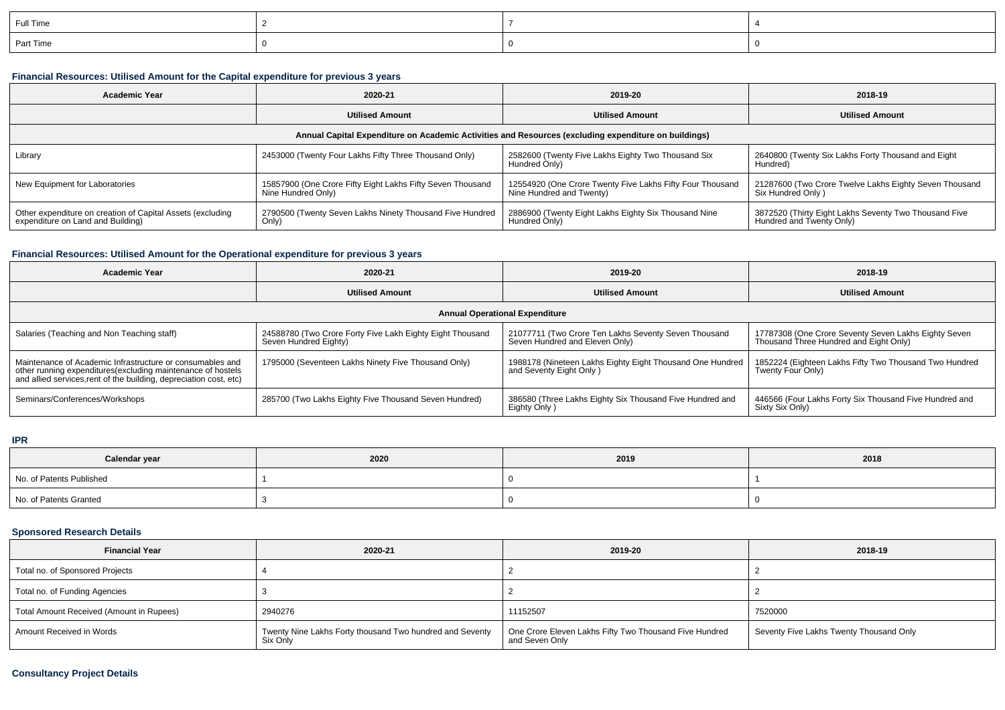| Full Time |  |  |
|-----------|--|--|
| Part Time |  |  |

### **Financial Resources: Utilised Amount for the Capital expenditure for previous 3 years**

| <b>Academic Year</b>                                                                                 | 2020-21                                                                          | 2019-20                                                                               | 2018-19                                                                           |  |  |  |  |  |
|------------------------------------------------------------------------------------------------------|----------------------------------------------------------------------------------|---------------------------------------------------------------------------------------|-----------------------------------------------------------------------------------|--|--|--|--|--|
|                                                                                                      | <b>Utilised Amount</b><br><b>Utilised Amount</b>                                 |                                                                                       | <b>Utilised Amount</b>                                                            |  |  |  |  |  |
| Annual Capital Expenditure on Academic Activities and Resources (excluding expenditure on buildings) |                                                                                  |                                                                                       |                                                                                   |  |  |  |  |  |
| Library                                                                                              | 2453000 (Twenty Four Lakhs Fifty Three Thousand Only)                            | 2582600 (Twenty Five Lakhs Eighty Two Thousand Six<br>Hundred Only)                   | 2640800 (Twenty Six Lakhs Forty Thousand and Eight<br>Hundred)                    |  |  |  |  |  |
| New Equipment for Laboratories                                                                       | 15857900 (One Crore Fifty Eight Lakhs Fifty Seven Thousand<br>Nine Hundred Only) | 12554920 (One Crore Twenty Five Lakhs Fifty Four Thousand<br>Nine Hundred and Twenty) | 21287600 (Two Crore Twelve Lakhs Eighty Seven Thousand<br>Six Hundred Only)       |  |  |  |  |  |
| Other expenditure on creation of Capital Assets (excluding<br>expenditure on Land and Building)      | 2790500 (Twenty Seven Lakhs Ninety Thousand Five Hundred<br>Only)                | 2886900 (Twenty Eight Lakhs Eighty Six Thousand Nine<br>Hundred Only)                 | 3872520 (Thirty Eight Lakhs Seventy Two Thousand Five<br>Hundred and Twenty Only) |  |  |  |  |  |

# **Financial Resources: Utilised Amount for the Operational expenditure for previous 3 years**

| <b>Academic Year</b>                                                                                                                                                                           | 2020-21                                                                            | 2019-20                                                                                | 2018-19                                                                                        |  |  |  |  |  |
|------------------------------------------------------------------------------------------------------------------------------------------------------------------------------------------------|------------------------------------------------------------------------------------|----------------------------------------------------------------------------------------|------------------------------------------------------------------------------------------------|--|--|--|--|--|
|                                                                                                                                                                                                | <b>Utilised Amount</b>                                                             | <b>Utilised Amount</b>                                                                 | <b>Utilised Amount</b>                                                                         |  |  |  |  |  |
| <b>Annual Operational Expenditure</b>                                                                                                                                                          |                                                                                    |                                                                                        |                                                                                                |  |  |  |  |  |
| Salaries (Teaching and Non Teaching staff)                                                                                                                                                     | 24588780 (Two Crore Forty Five Lakh Eighty Eight Thousand<br>Seven Hundred Eighty) | 21077711 (Two Crore Ten Lakhs Seventy Seven Thousand<br>Seven Hundred and Eleven Only) | 17787308 (One Crore Seventy Seven Lakhs Eighty Seven<br>Thousand Three Hundred and Eight Only) |  |  |  |  |  |
| Maintenance of Academic Infrastructure or consumables and<br>other running expenditures(excluding maintenance of hostels<br>and allied services, rent of the building, depreciation cost, etc) | 1795000 (Seventeen Lakhs Ninety Five Thousand Only)                                | 1988178 (Nineteen Lakhs Eighty Eight Thousand One Hundred<br>and Seventy Eight Only)   | 1852224 (Eighteen Lakhs Fifty Two Thousand Two Hundred<br>Twenty Four Only)                    |  |  |  |  |  |
| Seminars/Conferences/Workshops                                                                                                                                                                 | 285700 (Two Lakhs Eighty Five Thousand Seven Hundred)                              | 386580 (Three Lakhs Eighty Six Thousand Five Hundred and<br>Eighty Only)               | 446566 (Four Lakhs Forty Six Thousand Five Hundred and<br>Sixty Six Only)                      |  |  |  |  |  |

### **IPR**

| Calendar year            | 2020 | 2019 | 2018 |
|--------------------------|------|------|------|
| No. of Patents Published |      |      |      |
| No. of Patents Granted   |      |      |      |

# **Sponsored Research Details**

| <b>Financial Year</b>                    | 2020-21                                                              | 2019-20                                                                  | 2018-19                                 |
|------------------------------------------|----------------------------------------------------------------------|--------------------------------------------------------------------------|-----------------------------------------|
| Total no. of Sponsored Projects          |                                                                      |                                                                          |                                         |
| Total no. of Funding Agencies            |                                                                      |                                                                          |                                         |
| Total Amount Received (Amount in Rupees) | 2940276                                                              | 11152507                                                                 | 7520000                                 |
| Amount Received in Words                 | Twenty Nine Lakhs Forty thousand Two hundred and Seventy<br>Six Only | One Crore Eleven Lakhs Fifty Two Thousand Five Hundred<br>and Seven Only | Seventy Five Lakhs Twenty Thousand Only |